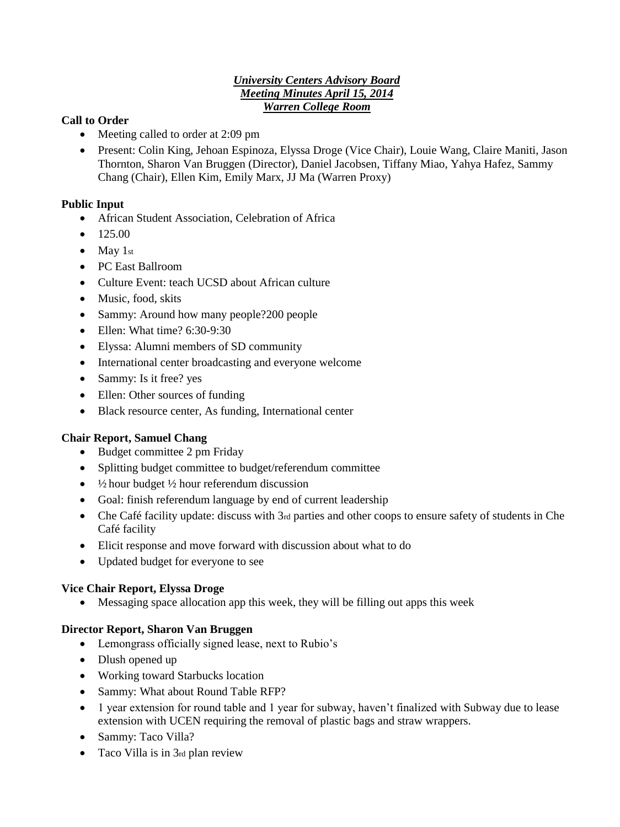### *University Centers Advisory Board Meeting Minutes April 15, 2014 Warren College Room*

# **Call to Order**

- Meeting called to order at 2:09 pm
- Present: Colin King, Jehoan Espinoza, Elyssa Droge (Vice Chair), Louie Wang, Claire Maniti, Jason Thornton, Sharon Van Bruggen (Director), Daniel Jacobsen, Tiffany Miao, Yahya Hafez, Sammy Chang (Chair), Ellen Kim, Emily Marx, JJ Ma (Warren Proxy)

# **Public Input**

- African Student Association, Celebration of Africa
- $\bullet$  125.00
- $\bullet$  May 1st
- PC East Ballroom
- Culture Event: teach UCSD about African culture
- Music, food, skits
- Sammy: Around how many people?200 people
- Ellen: What time? 6:30-9:30
- Elyssa: Alumni members of SD community
- International center broadcasting and everyone welcome
- Sammy: Is it free? yes
- Ellen: Other sources of funding
- Black resource center, As funding, International center

### **Chair Report, Samuel Chang**

- Budget committee 2 pm Friday
- Splitting budget committee to budget/referendum committee
- $\bullet$   $\frac{1}{2}$  hour budget  $\frac{1}{2}$  hour referendum discussion
- Goal: finish referendum language by end of current leadership
- Che Café facility update: discuss with 3rd parties and other coops to ensure safety of students in Che Café facility
- Elicit response and move forward with discussion about what to do
- Updated budget for everyone to see

### **Vice Chair Report, Elyssa Droge**

Messaging space allocation app this week, they will be filling out apps this week

### **Director Report, Sharon Van Bruggen**

- Lemongrass officially signed lease, next to Rubio's
- Dlush opened up
- Working toward Starbucks location
- Sammy: What about Round Table RFP?
- 1 year extension for round table and 1 year for subway, haven't finalized with Subway due to lease extension with UCEN requiring the removal of plastic bags and straw wrappers.
- Sammy: Taco Villa?
- Taco Villa is in 3rd plan review